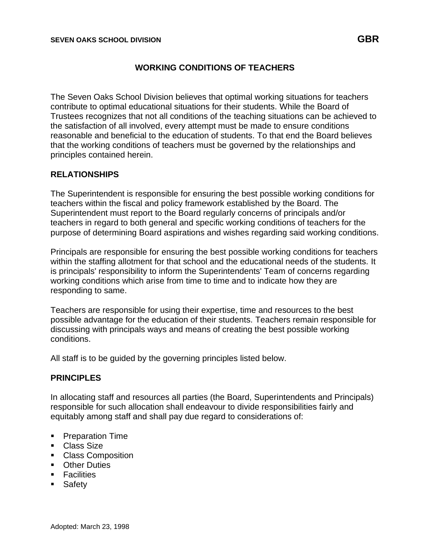## **WORKING CONDITIONS OF TEACHERS**

The Seven Oaks School Division believes that optimal working situations for teachers contribute to optimal educational situations for their students. While the Board of Trustees recognizes that not all conditions of the teaching situations can be achieved to the satisfaction of all involved, every attempt must be made to ensure conditions reasonable and beneficial to the education of students. To that end the Board believes that the working conditions of teachers must be governed by the relationships and principles contained herein.

## **RELATIONSHIPS**

The Superintendent is responsible for ensuring the best possible working conditions for teachers within the fiscal and policy framework established by the Board. The Superintendent must report to the Board regularly concerns of principals and/or teachers in regard to both general and specific working conditions of teachers for the purpose of determining Board aspirations and wishes regarding said working conditions.

Principals are responsible for ensuring the best possible working conditions for teachers within the staffing allotment for that school and the educational needs of the students. It is principals' responsibility to inform the Superintendents' Team of concerns regarding working conditions which arise from time to time and to indicate how they are responding to same.

Teachers are responsible for using their expertise, time and resources to the best possible advantage for the education of their students. Teachers remain responsible for discussing with principals ways and means of creating the best possible working conditions.

All staff is to be guided by the governing principles listed below.

## **PRINCIPLES**

In allocating staff and resources all parties (the Board, Superintendents and Principals) responsible for such allocation shall endeavour to divide responsibilities fairly and equitably among staff and shall pay due regard to considerations of:

- Preparation Time
- Class Size
- Class Composition
- Other Duties
- Facilities
- Safety